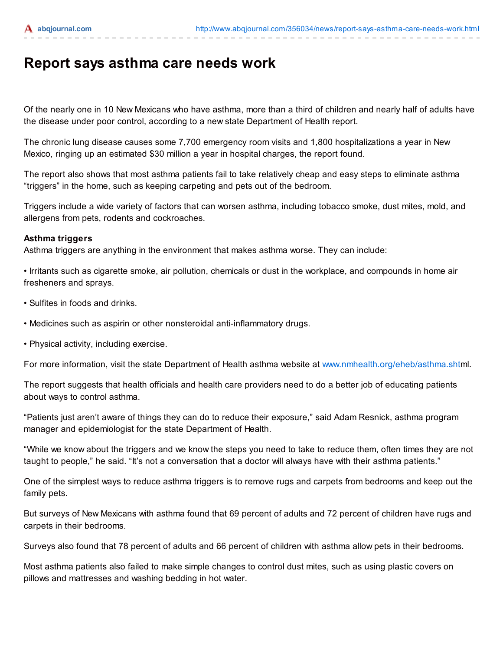## Report says asthma care needs work

Of the nearly one in 10 New Mexicans who have asthma, more than a third of children and nearly half of adults have [the disease un](https://subscriber.abqjournal.com/services/subscribe.php?promoposition=premium_login)der poor control, according to a new state Department of Health report.

The chronic lung disease causes some 7,700 emergency room visits and 1,800 hospitalizations a year in New Mexico, ringing up an estimated \$30 million a year in hospital charges, the report found.

The report also shows that most asthma patients fail to take relatively cheap and easy steps to eliminate asthma "triggers" in the home, such as keeping carpeting and pets out of the bedroom.

Triggers include a wide variety of factors that can worsen asthma, including tobacco smoke, dust mites, mold, and allergens from pets, rodents and cockroaches.

## Asthma triggers

Asthma triggers are anything in the environment that makes asthma worse. They can include:

• Irritants such as cigarette smoke, air pollution, chemicals or dust in the workplace, and compounds in home air fresheners and sprays.

- Sulfites in foods and drinks.
- Medicines such as aspirin or other nonsteroidal anti-inflammatory drugs.
- Physical activity, including exercise.

For more information, visit the state Department of Health asthma website at www.nmhealth.org/eheb/asthma.shtml.

The report suggests that health officials and health care providers need to do a better job of educating patients about ways to control asthma.

"Patients just aren't aware of things they can do to reduce their exposure," said Adam Resnick, asthma program manager and epidemiologist for the state Department of Health.

"While we know about the triggers and we know the steps you need to take to reduce them, often times they are not taught to people," he said. "It's not a conversation that a doctor will always have with their asthma patients."

One of the simplest ways to reduce asthma triggers is to remove rugs and carpets from bedrooms and keep out the family pets.

But surveys of New Mexicans with asthma found that 69 percent of adults and 72 percent of children have rugs and carpets in their bedrooms.

Surveys also found that 78 percent of adults and 66 percent of children with asthma allow pets in their bedrooms.

Most asthma patients also failed to make simple changes to control dust mites, such as using plastic covers on pillows and mattresses and washing bedding in hot water.